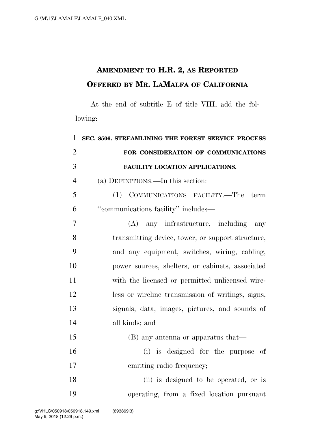## **AMENDMENT TO H.R. 2, AS REPORTED OFFERED BY MR. LAMALFA OF CALIFORNIA**

At the end of subtitle E of title VIII, add the following:

| $\mathbf{1}$   | SEC. 8506. STREAMLINING THE FOREST SERVICE PROCESS |
|----------------|----------------------------------------------------|
| $\overline{2}$ | FOR CONSIDERATION OF COMMUNICATIONS                |
| 3              | FACILITY LOCATION APPLICATIONS.                    |
| $\overline{4}$ | (a) DEFINITIONS.—In this section:                  |
| 5              | (1) COMMUNICATIONS FACILITY.—The<br>term           |
| 6              | "communications facility" includes—                |
| 7              | (A) any infrastructure, including any              |
| 8              | transmitting device, tower, or support structure,  |
| 9              | and any equipment, switches, wiring, cabling,      |
| 10             | power sources, shelters, or cabinets, associated   |
| 11             | with the licensed or permitted unlicensed wire-    |
| 12             | less or wireline transmission of writings, signs,  |
| 13             | signals, data, images, pictures, and sounds of     |
| 14             | all kinds; and                                     |
| 15             | (B) any antenna or apparatus that—                 |
| 16             | (i) is designed for the purpose of                 |
| 17             | emitting radio frequency;                          |
| 18             | (ii) is designed to be operated, or is             |
| 19             | operating, from a fixed location pursuant          |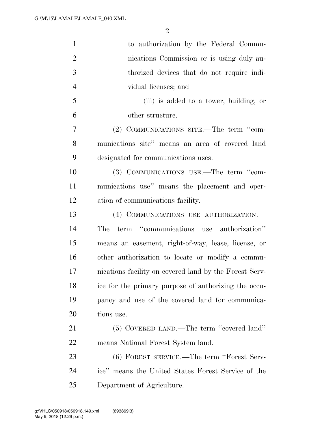| to authorization by the Federal Commu-                 |
|--------------------------------------------------------|
| nications Commission or is using duly au-              |
| thorized devices that do not require indi-             |
| vidual licenses; and                                   |
| (iii) is added to a tower, building, or                |
| other structure.                                       |
| (2) COMMUNICATIONS SITE.—The term "com-                |
| munications site" means an area of covered land        |
| designated for communications uses.                    |
| (3) COMMUNICATIONS USE.—The term "com-                 |
| munications use" means the placement and oper-         |
| ation of communications facility.                      |
| (4) COMMUNICATIONS USE AUTHORIZATION.                  |
| term "communications use authorization"<br>The         |
| means an easement, right-of-way, lease, license, or    |
| other authorization to locate or modify a commu-       |
| nications facility on covered land by the Forest Serv- |
| ice for the primary purpose of authorizing the occu-   |
| pancy and use of the covered land for communica-       |
| tions use.                                             |
| (5) COVERED LAND.—The term "covered land"              |
| means National Forest System land.                     |
| (6) FOREST SERVICE.—The term "Forest Serv-             |
| ice" means the United States Forest Service of the     |
| Department of Agriculture.                             |
|                                                        |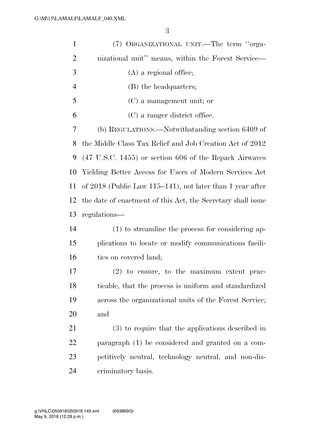| $\mathbf{1}$   | (7) ORGANIZATIONAL UNIT.—The term "orga-                          |
|----------------|-------------------------------------------------------------------|
| $\overline{2}$ | nizational unit" means, within the Forest Service—                |
| 3              | $(A)$ a regional office;                                          |
| $\overline{4}$ | (B) the headquarters;                                             |
| 5              | $(C)$ a management unit; or                                       |
| 6              | (C) a ranger district office.                                     |
| 7              | (b) REGULATIONS.—Notwithstanding section 6409 of                  |
| 8              | the Middle Class Tax Relief and Job Creation Act of 2012          |
| 9              | $(47 \text{ U.S.C. } 1455)$ or section 606 of the Repack Airwaves |
| 10             | Yielding Better Access for Users of Modern Services Act           |
| 11             | of $2018$ (Public Law 115–141), not later than 1 year after       |
| 12             | the date of enactment of this Act, the Secretary shall issue      |
| 13             | regulations—                                                      |
| 14             | (1) to streamline the process for considering ap-                 |
| 15             | plications to locate or modify communications facili-             |
| 16             | ties on covered land;                                             |
| 17             | $(2)$ to ensure, to the maximum extent prac-                      |
| 18             | ticable, that the process is uniform and standardized             |
| 19             | across the organizational units of the Forest Service;            |
| 20             | and                                                               |
| 21             | (3) to require that the applications described in                 |
| 22             | paragraph (1) be considered and granted on a com-                 |
| 23             | petitively neutral, technology neutral, and non-dis-              |
| 24             | criminatory basis.                                                |
|                |                                                                   |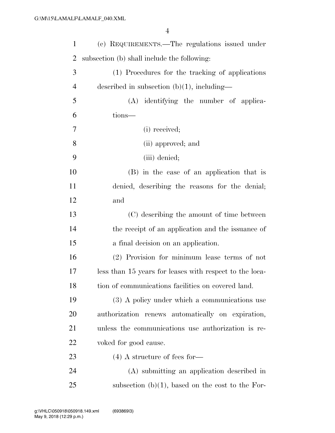| $\mathbf{1}$   | (c) REQUIREMENTS.—The regulations issued under          |
|----------------|---------------------------------------------------------|
| 2              | subsection (b) shall include the following:             |
| 3              | (1) Procedures for the tracking of applications         |
| $\overline{4}$ | described in subsection $(b)(1)$ , including—           |
| 5              | (A) identifying the number of applica-                  |
| 6              | tions-                                                  |
| 7              | (i) received;                                           |
| 8              | (ii) approved; and                                      |
| 9              | (iii) denied;                                           |
| 10             | (B) in the case of an application that is               |
| <sup>11</sup>  | denied, describing the reasons for the denial;          |
| 12             | and                                                     |
| 13             | (C) describing the amount of time between               |
| 14             | the receipt of an application and the issuance of       |
| 15             | a final decision on an application.                     |
| 16             | (2) Provision for minimum lease terms of not            |
| 17             | less than 15 years for leases with respect to the loca- |
| 18             | tion of communications facilities on covered land.      |
| 19             | (3) A policy under which a communications use           |
| 20             | authorization renews automatically on expiration,       |
| 21             | unless the communications use authorization is re-      |
| <u>22</u>      | voked for good cause.                                   |
| 23             | $(4)$ A structure of fees for-                          |
| 24             | (A) submitting an application described in              |
| 25             | subsection $(b)(1)$ , based on the cost to the For-     |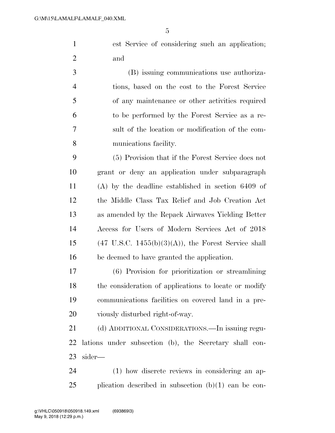est Service of considering such an application; and

 (B) issuing communications use authoriza- tions, based on the cost to the Forest Service of any maintenance or other activities required to be performed by the Forest Service as a re- sult of the location or modification of the com-munications facility.

 (5) Provision that if the Forest Service does not grant or deny an application under subparagraph (A) by the deadline established in section 6409 of the Middle Class Tax Relief and Job Creation Act as amended by the Repack Airwaves Yielding Better Access for Users of Modern Services Act of 2018 15 (47 U.S.C. 1455(b)(3)(A)), the Forest Service shall be deemed to have granted the application.

 (6) Provision for prioritization or streamlining the consideration of applications to locate or modify communications facilities on covered land in a pre-viously disturbed right-of-way.

 (d) ADDITIONAL CONSIDERATIONS.—In issuing regu- lations under subsection (b), the Secretary shall con-sider—

 (1) how discrete reviews in considering an ap-plication described in subsection (b)(1) can be con-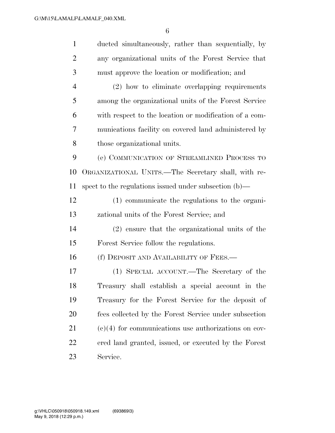| $\mathbf{1}$   | ducted simultaneously, rather than sequentially, by    |
|----------------|--------------------------------------------------------|
| $\overline{2}$ | any organizational units of the Forest Service that    |
| 3              | must approve the location or modification; and         |
| $\overline{4}$ | (2) how to eliminate overlapping requirements          |
| 5              | among the organizational units of the Forest Service   |
| 6              | with respect to the location or modification of a com- |
| 7              | munications facility on covered land administered by   |
| 8              | those organizational units.                            |
| 9              | (e) COMMUNICATION OF STREAMLINED PROCESS TO            |
| 10             | ORGANIZATIONAL UNITS.—The Secretary shall, with re-    |
| 11             | spect to the regulations issued under subsection (b)—  |
| 12             | (1) communicate the regulations to the organi-         |
| 13             | zational units of the Forest Service; and              |
| 14             | (2) ensure that the organizational units of the        |
| 15             | Forest Service follow the regulations.                 |
| 16             | (f) DEPOSIT AND AVAILABILITY OF FEES.-                 |
| 17             | (1) SPECIAL ACCOUNT.—The Secretary of the              |
| 18             | Treasury shall establish a special account in the      |
| 19             | Treasury for the Forest Service for the deposit of     |
| 20             | fees collected by the Forest Service under subsection  |
| 21             | $(e)(4)$ for communications use authorizations on cov- |
| 22             | ered land granted, issued, or executed by the Forest   |
| 23             | Service.                                               |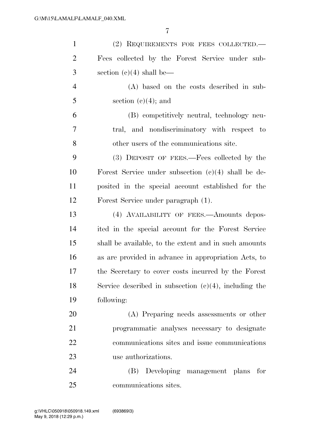| $\mathbf{1}$   | (2) REQUIREMENTS FOR FEES COLLECTED.                     |
|----------------|----------------------------------------------------------|
| $\overline{2}$ | Fees collected by the Forest Service under sub-          |
| 3              | section $(c)(4)$ shall be—                               |
| $\overline{4}$ | (A) based on the costs described in sub-                 |
| 5              | section $(e)(4)$ ; and                                   |
| 6              | (B) competitively neutral, technology neu-               |
| 7              | tral, and nondiscriminatory with respect to              |
| 8              | other users of the communications site.                  |
| 9              | (3) DEPOSIT OF FEES.—Fees collected by the               |
| 10             | Forest Service under subsection $(c)(4)$ shall be de-    |
| 11             | posited in the special account established for the       |
| 12             | Forest Service under paragraph (1).                      |
| 13             | (4) AVAILABILITY OF FEES.—Amounts depos-                 |
| 14             | ited in the special account for the Forest Service       |
| 15             | shall be available, to the extent and in such amounts    |
| 16             | as are provided in advance in appropriation Acts, to     |
| 17             | the Secretary to cover costs incurred by the Forest      |
| 18             | Service described in subsection $(c)(4)$ , including the |
| 19             | following:                                               |
| 20             | (A) Preparing needs assessments or other                 |
| 21             | programmatic analyses necessary to designate             |
| 22             | communications sites and issue communications            |
| 23             | use authorizations.                                      |
| 24             | Developing management plans<br>(B)<br>for                |
| 25             | communications sites.                                    |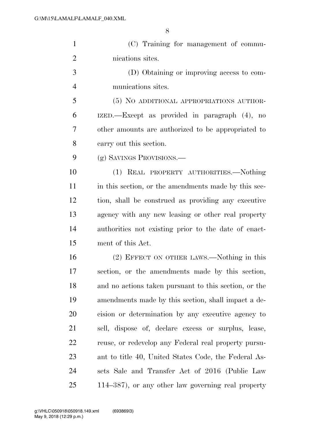| (C) Training for management of commu-     |
|-------------------------------------------|
| nications sites.                          |
| (D) Obtaining or improving access to com- |

munications sites.

 (5) NO ADDITIONAL APPROPRIATIONS AUTHOR- IZED.—Except as provided in paragraph (4), no other amounts are authorized to be appropriated to carry out this section.

(g) SAVINGS PROVISIONS.—

 (1) REAL PROPERTY AUTHORITIES.—Nothing 11 in this section, or the amendments made by this sec- tion, shall be construed as providing any executive agency with any new leasing or other real property authorities not existing prior to the date of enact-ment of this Act.

 (2) EFFECT ON OTHER LAWS.—Nothing in this section, or the amendments made by this section, and no actions taken pursuant to this section, or the amendments made by this section, shall impact a de- cision or determination by any executive agency to sell, dispose of, declare excess or surplus, lease, reuse, or redevelop any Federal real property pursu- ant to title 40, United States Code, the Federal As- sets Sale and Transfer Act of 2016 (Public Law 114–387), or any other law governing real property